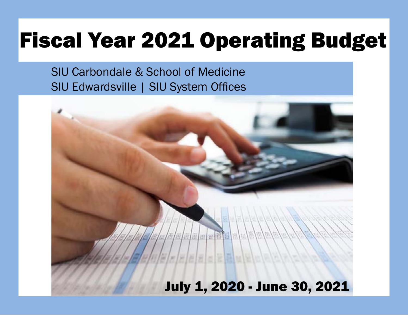# Fiscal Year 2021 Operating Budget

SIU Carbondale & School of Medicine SIU Edwardsville | SIU System Offices

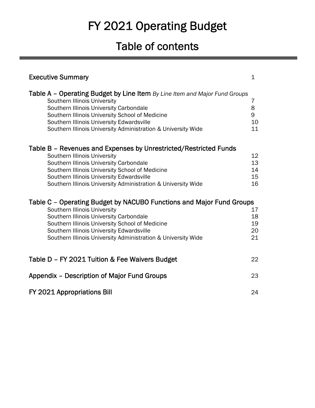# FY 2021 Operating Budget

# Table of contents

| <b>Executive Summary</b>                                                                                                                                                                                                                                                                                               | $\mathbf 1$                |
|------------------------------------------------------------------------------------------------------------------------------------------------------------------------------------------------------------------------------------------------------------------------------------------------------------------------|----------------------------|
| Table A - Operating Budget by Line Item By Line Item and Major Fund Groups<br>Southern Illinois University<br>Southern Illinois University Carbondale<br>Southern Illinois University School of Medicine<br>Southern Illinois University Edwardsville<br>Southern Illinois University Administration & University Wide | 7<br>8<br>9<br>10<br>11    |
| Table B – Revenues and Expenses by Unrestricted/Restricted Funds<br>Southern Illinois University<br>Southern Illinois University Carbondale<br>Southern Illinois University School of Medicine<br>Southern Illinois University Edwardsville<br>Southern Illinois University Administration & University Wide           | 12<br>13<br>14<br>15<br>16 |
| Table C – Operating Budget by NACUBO Functions and Major Fund Groups<br>Southern Illinois University<br>Southern Illinois University Carbondale<br>Southern Illinois University School of Medicine<br>Southern Illinois University Edwardsville<br>Southern Illinois University Administration & University Wide       | 17<br>18<br>19<br>20<br>21 |
| Table D - FY 2021 Tuition & Fee Waivers Budget                                                                                                                                                                                                                                                                         | 22                         |
| Appendix - Description of Major Fund Groups                                                                                                                                                                                                                                                                            | 23                         |
| FY 2021 Appropriations Bill                                                                                                                                                                                                                                                                                            | 24                         |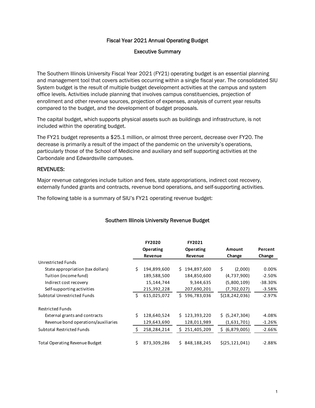### Fiscal Year 2021 Annual Operating Budget

#### Executive Summary

The Southern Illinois University Fiscal Year 2021 (FY21) operating budget is an essential planning and management tool that covers activities occurring within a single fiscal year. The consolidated SIU System budget is the result of multiple budget development activities at the campus and system office levels. Activities include planning that involves campus constituencies, projection of enrollment and other revenue sources, projection of expenses, analysis of current year results compared to the budget, and the development of budget proposals.

The capital budget, which supports physical assets such as buildings and infrastructure, is not included within the operating budget.

The FY21 budget represents a \$25.1 million, or almost three percent, decrease over FY20. The decrease is primarily a result of the impact of the pandemic on the university's operations, particularly those of the School of Medicine and auxiliary and self supporting activities at the Carbondale and Edwardsville campuses.

#### REVENUES:

Major revenue categories include tuition and fees, state appropriations, indirect cost recovery, externally funded grants and contracts, revenue bond operations, and self-supporting activities.

The following table is a summary of SIU's FY21 operating revenue budget:

### Southern Illinois University Revenue Budget

|                                     |    | <b>FY2020</b> |    | FY2021      |    |                  |           |
|-------------------------------------|----|---------------|----|-------------|----|------------------|-----------|
|                                     |    | Operating     |    | Operating   |    | Amount           | Percent   |
|                                     |    | Revenue       |    | Revenue     |    | Change           | Change    |
| Unrestricted Funds                  |    |               |    |             |    |                  |           |
| State appropriation (tax dollars)   | Ŝ. | 194,899,600   | Ś. | 194,897,600 | \$ | (2,000)          | $0.00\%$  |
| Tuition (income fund)               |    | 189,588,500   |    | 184,850,600 |    | (4,737,900)      | $-2.50%$  |
| Indirect cost recovery              |    | 15,144,744    |    | 9,344,635   |    | (5,800,109)      | $-38.30%$ |
| Self-supporting activities          |    | 215,392,228   |    | 207,690,201 |    | (7,702,027)      | $-3.58%$  |
| <b>Subtotal Unrestricted Funds</b>  | Ś. | 615,025,072   | Ś. | 596,783,036 |    | \$(18, 242, 036) | $-2.97%$  |
| <b>Restricted Funds</b>             |    |               |    |             |    |                  |           |
| External grants and contracts       | Ś. | 128,640,524   | Ś. | 123,393,220 |    | \$ (5, 247, 304) | $-4.08\%$ |
| Revenue bond operations/auxiliaries |    | 129,643,690   |    | 128,011,989 |    | (1,631,701)      | $-1.26%$  |
| <b>Subtotal Restricted Funds</b>    | S  | 258,284,214   | Ś. | 251,405,209 | S. | (6,879,005)      | $-2.66%$  |
| Total Operating Revenue Budget      | Ś. | 873,309,286   | Ś. | 848,188,245 |    | \$(25, 121, 041) | $-2.88%$  |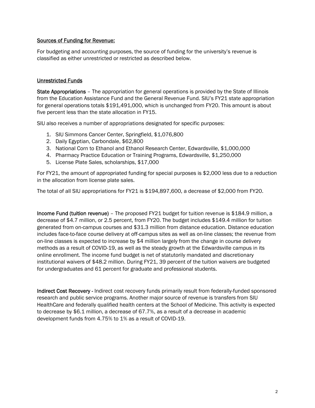#### Sources of Funding for Revenue:

For budgeting and accounting purposes, the source of funding for the university's revenue is classified as either unrestricted or restricted as described below.

#### Unrestricted Funds

State Appropriations – The appropriation for general operations is provided by the State of Illinois from the Education Assistance Fund and the General Revenue Fund. SIU's FY21 state appropriation for general operations totals \$191,491,000, which is unchanged from FY20. This amount is about five percent less than the state allocation in FY15.

SIU also receives a number of appropriations designated for specific purposes:

- 1. SIU Simmons Cancer Center, Springfield, \$1,076,800
- 2. Daily Egyptian, Carbondale, \$62,800
- 3. National Corn to Ethanol and Ethanol Research Center, Edwardsville, \$1,000,000
- 4. Pharmacy Practice Education or Training Programs, Edwardsville, \$1,250,000
- 5. License Plate Sales, scholarships, \$17,000

For FY21, the amount of appropriated funding for special purposes is \$2,000 less due to a reduction in the allocation from license plate sales.

The total of all SIU appropriations for FY21 is \$194,897,600, a decrease of \$2,000 from FY20.

Income Fund (tuition revenue) – The proposed FY21 budget for tuition revenue is \$184.9 million, a decrease of \$4.7 million, or 2.5 percent, from FY20. The budget includes \$149.4 million for tuition generated from on-campus courses and \$31.3 million from distance education. Distance education includes face-to-face course delivery at off-campus sites as well as on-line classes; the revenue from on-line classes is expected to increase by \$4 million largely from the change in course delivery methods as a result of COVID-19, as well as the steady growth at the Edwardsville campus in its online enrollment. The income fund budget is net of statutorily mandated and discretionary institutional waivers of \$48.2 million. During FY21, 39 percent of the tuition waivers are budgeted for undergraduates and 61 percent for graduate and professional students.

Indirect Cost Recovery - Indirect cost recovery funds primarily result from federally-funded sponsored research and public service programs. Another major source of revenue is transfers from SIU HealthCare and federally qualified health centers at the School of Medicine. This activity is expected to decrease by \$6.1 million, a decrease of 67.7%, as a result of a decrease in academic development funds from 4.75% to 1% as a result of COVID-19.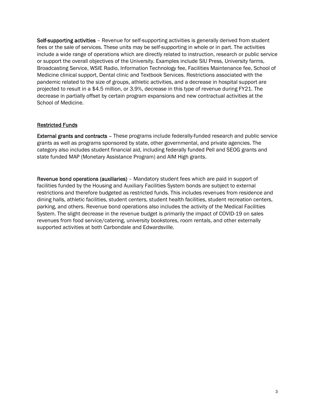Self-supporting activities – Revenue for self-supporting activities is generally derived from student fees or the sale of services. These units may be self-supporting in whole or in part. The activities include a wide range of operations which are directly related to instruction, research or public service or support the overall objectives of the University. Examples include SIU Press, University farms, Broadcasting Service, WSIE Radio, Information Technology fee, Facilities Maintenance fee, School of Medicine clinical support, Dental clinic and Textbook Services. Restrictions associated with the pandemic related to the size of groups, athletic activities, and a decrease in hospital support are projected to result in a \$4.5 million, or 3.9%, decrease in this type of revenue during FY21. The decrease in partially offset by certain program expansions and new contractual activities at the School of Medicine.

### Restricted Funds

External grants and contracts – These programs include federally-funded research and public service grants as well as programs sponsored by state, other governmental, and private agencies. The category also includes student financial aid, including federally funded Pell and SEOG grants and state funded MAP (Monetary Assistance Program) and AIM High grants.

Revenue bond operations (auxiliaries) – Mandatory student fees which are paid in support of facilities funded by the Housing and Auxiliary Facilities System bonds are subject to external restrictions and therefore budgeted as restricted funds. This includes revenues from residence and dining halls, athletic facilities, student centers, student health facilities, student recreation centers, parking, and others. Revenue bond operations also includes the activity of the Medical Facilities System. The slight decrease in the revenue budget is primarily the impact of COVID-19 on sales revenues from food service/catering, university bookstores, room rentals, and other externally supported activities at both Carbondale and Edwardsville.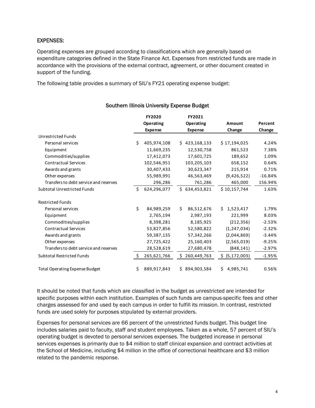#### EXPENSES:

Operating expenses are grouped according to classifications which are generally based on expenditure categories defined in the State Finance Act. Expenses from restricted funds are made in accordance with the provisions of the external contract, agreement, or other document created in support of the funding.

The following table provides a summary of SIU's FY21 operating expense budget:

|                                        |    | <b>FY2020</b>  |    | FY2021                      |                  |           |
|----------------------------------------|----|----------------|----|-----------------------------|------------------|-----------|
|                                        |    | Operating      |    | Operating<br><b>Expense</b> | Amount           | Percent   |
| <b>Unrestricted Funds</b>              |    | <b>Expense</b> |    |                             | Change           | Change    |
| Personal services                      | Ś. | 405,974,108    |    | \$423,168,133               | \$17,194,025     | 4.24%     |
|                                        |    |                |    |                             |                  |           |
| Equipment                              |    | 11,669,235     |    | 12,530,758                  | 861,523          | 7.38%     |
| Commodities/supplies                   |    | 17,412,073     |    | 17,601,725                  | 189,652          | 1.09%     |
| <b>Contractual Services</b>            |    | 102,546,951    |    | 103,205,103                 | 658,152          | 0.64%     |
| Awards and grants                      |    | 30,407,433     |    | 30,623,347                  | 215,914          | 0.71%     |
| Other expenses                         |    | 55,989,991     |    | 46,563,469                  | (9,426,522)      | $-16.84%$ |
| Transfers to debt service and reserves |    | 296,286        |    | 761,286                     | 465,000          | 156.94%   |
| <b>Subtotal Unrestricted Funds</b>     | Ś. | 624,296,077    |    | \$634,453,821               | \$10,157,744     | 1.63%     |
| <b>Restricted Funds</b>                |    |                |    |                             |                  |           |
| Personal services                      | \$ | 84,989,259     | Ś. | 86,512,676                  | Ś.<br>1,523,417  | 1.79%     |
| Equipment                              |    | 2,765,194      |    | 2,987,193                   | 221,999          | 8.03%     |
| Commodities/supplies                   |    | 8,398,281      |    | 8,185,925                   | (212, 356)       | $-2.53%$  |
| <b>Contractual Services</b>            |    | 53,827,856     |    | 52,580,822                  | (1, 247, 034)    | $-2.32%$  |
| Awards and grants                      |    | 59,387,135     |    | 57,342,266                  | (2,044,869)      | $-3.44%$  |
| Other expenses                         |    | 27,725,422     |    | 25,160,403                  | (2,565,019)      | $-9.25%$  |
| Transfers to debt service and reserves |    | 28,528,619     |    | 27,680,478                  | (848, 141)       | $-2.97%$  |
| <b>Subtotal Restricted Funds</b>       | \$ | 265,621,766    | \$ | 260,449,763                 | \$ (5,172,003)   | $-1.95%$  |
| <b>Total Operating Expense Budget</b>  | \$ | 889,917,843    |    | \$894,903,584               | \$.<br>4,985,741 | 0.56%     |

Southern Illinois University Expense Budget

It should be noted that funds which are classified in the budget as unrestricted are intended for specific purposes within each institution. Examples of such funds are campus-specific fees and other charges assessed for and used by each campus in order to fulfill its mission. In contrast, restricted funds are used solely for purposes stipulated by external providers.

Expenses for personal services are 66 percent of the unrestricted funds budget. This budget line includes salaries paid to faculty, staff and student employees. Taken as a whole, 57 percent of SIU's operating budget is devoted to personal services expenses. The budgeted increase in personal services expenses is primarily due to \$4 million to staff clinical expansion and contract activities at the School of Medicine, including \$4 million in the office of correctional healthcare and \$3 million related to the pandemic response.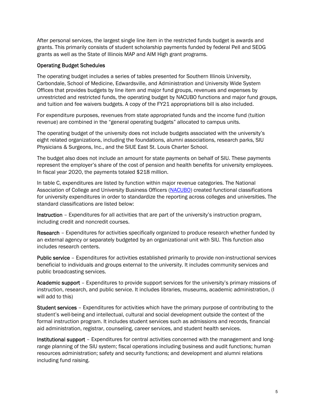After personal services, the largest single line item in the restricted funds budget is awards and grants. This primarily consists of student scholarship payments funded by federal Pell and SEOG grants as well as the State of Illinois MAP and AIM High grant programs.

#### Operating Budget Schedules

The operating budget includes a series of tables presented for Southern Illinois University, Carbondale, School of Medicine, Edwardsville, and Administration and University Wide System Offices that provides budgets by line item and major fund groups, revenues and expenses by unrestricted and restricted funds, the operating budget by NACUBO functions and major fund groups, and tuition and fee waivers budgets. A copy of the FY21 appropriations bill is also included.

For expenditure purposes, revenues from state appropriated funds and the income fund (tuition revenue) are combined in the "general operating budgets" allocated to campus units.

The operating budget of the university does not include budgets associated with the university's eight related organizations, including the foundations, alumni associations, research parks, SIU Physicians & Surgeons, Inc., and the SIUE East St. Louis Charter School.

The budget also does not include an amount for state payments on behalf of SIU. These payments represent the employer's share of the cost of pension and health benefits for university employees. In fiscal year 2020, the payments totaled \$218 million.

In table C, expenditures are listed by function within major revenue categories. The National Association of College and University Business Officers (NACUBO) created functional classifications for university expenditures in order to standardize the reporting across colleges and universities. The standard classifications are listed below:

Instruction – Expenditures for all activities that are part of the university's instruction program, including credit and noncredit courses.

Research – Expenditures for activities specifically organized to produce research whether funded by an external agency or separately budgeted by an organizational unit with SIU. This function also includes research centers.

Public service – Expenditures for activities established primarily to provide non-instructional services beneficial to individuals and groups external to the university. It includes community services and public broadcasting services.

Academic support – Expenditures to provide support services for the university's primary missions of instruction, research, and public service. It includes libraries, museums, academic administration, (I will add to this)

Student services – Expenditures for activities which have the primary purpose of contributing to the student's well-being and intellectual, cultural and social development outside the context of the formal instruction program. It includes student services such as admissions and records, financial aid administration, registrar, counseling, career services, and student health services.

Institutional support - Expenditures for central activities concerned with the management and longrange planning of the SIU system; fiscal operations including business and audit functions; human resources administration; safety and security functions; and development and alumni relations including fund raising.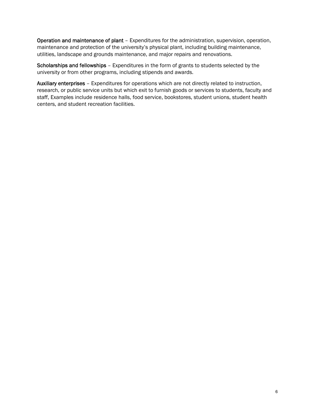Operation and maintenance of plant – Expenditures for the administration, supervision, operation, maintenance and protection of the university's physical plant, including building maintenance, utilities, landscape and grounds maintenance, and major repairs and renovations.

Scholarships and fellowships - Expenditures in the form of grants to students selected by the university or from other programs, including stipends and awards.

Auxiliary enterprises – Expenditures for operations which are not directly related to instruction, research, or public service units but which exit to furnish goods or services to students, faculty and staff, Examples include residence halls, food service, bookstores, student unions, student health centers, and student recreation facilities.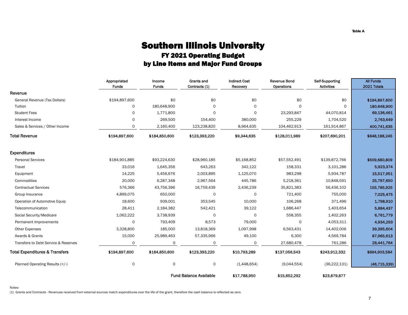### Southern Illinois University FY 2021 Operating Budget by Line Items and Major Fund Groups

|                                           | Appropriated<br><b>Funds</b> | Income<br><b>Funds</b> | Grants and<br>Contracts (1)   | <b>Indirect Cost</b><br>Recovery | <b>Revenue Bond</b><br>Operations | Self-Supporting<br><b>Activities</b> | <b>All Funds</b><br>2021 Totals |
|-------------------------------------------|------------------------------|------------------------|-------------------------------|----------------------------------|-----------------------------------|--------------------------------------|---------------------------------|
| Revenue                                   |                              |                        |                               |                                  |                                   |                                      |                                 |
| General Revenue (Tax Dollars)             | \$194,897,600                | \$0                    | \$0                           | \$0                              | \$0                               | \$0                                  | \$194,897,600                   |
| Tuition                                   | $\mathsf{O}$                 | 180,648,900            | 0                             | $\circ$                          | $\Omega$                          | 0                                    | 180,648,900                     |
| <b>Student Fees</b>                       | 0                            | 1,771,800              | 0                             | $\Omega$                         | 23,293,847                        | 44,070,814                           | 69,136,461                      |
| Interest Income                           | 0                            | 269,500                | 154,400                       | 380,000                          | 255,229                           | 1,704,520                            | 2,763,649                       |
| Sales & Services / Other Income           | 0                            | 2,160,400              | 123,238,820                   | 8,964,635                        | 104,462,913                       | 161,914,867                          | 400,741,635                     |
| <b>Total Revenue</b>                      | \$194,897,600                | \$184,850,600          | \$123,393,220                 | \$9,344,635                      | \$128,011,989                     | \$207,690,201                        | \$848,188,245                   |
| <b>Expenditures</b>                       |                              |                        |                               |                                  |                                   |                                      |                                 |
| <b>Personal Services</b>                  | \$184,901,885                | \$93,224,630           | \$28,960,185                  | \$5,168,852                      | \$57,552,491                      | \$139,872,766                        | \$509,680,809                   |
| Travel                                    | 33,016                       | 1,645,356              | 643,263                       | 342,122                          | 158,331                           | 3,101,286                            | 5,923,374                       |
| Equipment                                 | 14,225                       | 5,456,676              | 2,003,895                     | 1,125,070                        | 983,298                           | 5,934,787                            | 15,517,951                      |
| Commodities                               | 20,000                       | 6,287,348              | 2,967,564                     | 445,786                          | 5,218,361                         | 10,848,591                           | 25,787,650                      |
| <b>Contractual Services</b>               | 576,366                      | 43,756,396             | 16,759,439                    | 2,436,239                        | 35,821,383                        | 56,436,102                           | 155,785,925                     |
| Group Insurance                           | 4,899,075                    | 650,000                | 0                             | $\Omega$                         | 721,400                           | 755,000                              | 7,025,475                       |
| Operation of Automotive Equip             | 18,600                       | 939,001                | 353,545                       | 10,000                           | 106,268                           | 371,496                              | 1,798,910                       |
| Telecommunication                         | 28,411                       | 2,184,382              | 542,421                       | 39,122                           | 1,686,447                         | 1,403,654                            | 5,884,437                       |
| Social Security/Medicare                  | 1,062,222                    | 3,738,939              | $\circ$                       | $\circ$                          | 558,355                           | 1,402,263                            | 6,761,779                       |
| Permanent Improvements                    | $\mathsf{O}$                 | 793,409                | 8,573                         | 79,000                           | $\Omega$                          | 4,053,311                            | 4,934,293                       |
| <b>Other Expenses</b>                     | 3,328,800                    | 185,000                | 13,818,369                    | 1,097,998                        | 6,563,431                         | 14,402,006                           | 39,395,604                      |
| Awards & Grants                           | 15,000                       | 25,989,463             | 57,335,966                    | 49,100                           | 6,300                             | 4,569,784                            | 87,965,613                      |
| Transfers to Debt Service & Reserves      | 0                            | 0                      | 0                             | $\mathbf 0$                      | 27,680,478                        | 761,286                              | 28,441,764                      |
| <b>Total Expenditures &amp; Transfers</b> | \$194,897,600                | \$184,850,600          | \$123,393,220                 | \$10,793,289                     | \$137,056,543                     | \$243,912,332                        | \$894,903,584                   |
| Planned Operating Results (+/-)           | $\mathsf O$                  | 0                      | 0                             | (1,448,654)                      | (9,044,554)                       | (36, 222, 131)                       | (46, 715, 339)                  |
|                                           |                              |                        | <b>Fund Balance Available</b> | \$17,788,950                     | \$15,652,292                      | \$23,879,877                         |                                 |

(1) Grants and Contracts - Revenues received from external sources match expenditures over the life of the grant, therefore the cash balance is reflected as zero.

**Table A**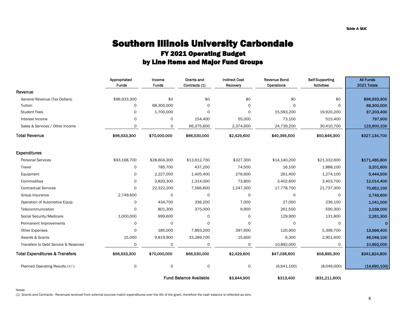### FY 2021 Operating Budget by Line Items and Major Fund Groups Southern Illinois University Carbondale

|                                           | Appropriated<br><b>Funds</b> | Income<br><b>Funds</b> | Grants and<br>Contracts (1)   | <b>Indirect Cost</b><br>Recovery | <b>Revenue Bond</b><br>Operations | Self-Supporting<br><b>Activities</b> | <b>All Funds</b><br>2021 Totals |
|-------------------------------------------|------------------------------|------------------------|-------------------------------|----------------------------------|-----------------------------------|--------------------------------------|---------------------------------|
| Revenue                                   |                              |                        |                               |                                  |                                   |                                      |                                 |
| General Revenue (Tax Dollars)             | \$96,933,300                 | \$0                    | \$0                           | \$0                              | \$0                               | \$0                                  | \$96,933,300                    |
| Tuition                                   | 0                            | 68,300,000             | $\Omega$                      | $\Omega$                         | $\Omega$                          | $\Omega$                             | 68,300,000                      |
| <b>Student Fees</b>                       | 0                            | 1,700,000              | $\Omega$                      | $\Omega$                         | 15,583,200                        | 19,920,200                           | 37,203,400                      |
| Interest Income                           | $\mathsf{O}$                 | $\mathsf{O}$           | 154,400                       | 55,000                           | 73,100                            | 515,400                              | 797,900                         |
| Sales & Services / Other Income           | 0                            | 0                      | 66,375,600                    | 2,374,600                        | 24,739,200                        | 30,410,700                           | 123,900,100                     |
| <b>Total Revenue</b>                      | \$96,933,300                 | \$70,000,000           | \$66,530,000                  | \$2,429,600                      | \$40,395,500                      | \$50,846,300                         | \$327,134,700                   |
| <b>Expenditures</b>                       |                              |                        |                               |                                  |                                   |                                      |                                 |
| <b>Personal Services</b>                  | \$93,168,700                 | \$28,604,300           | \$13,912,700                  | \$327,300                        | \$14,140,200                      | \$21,332,600                         | \$171,485,800                   |
| Travel                                    | 0                            | 785,700                | 437,200                       | 74,500                           | 16,100                            | 1,888,100                            | 3,201,600                       |
| Equipment                                 | 0                            | 2,227,000              | 1,405,400                     | 276,600                          | 261,400                           | 1,274,100                            | 5,444,500                       |
| Commodities                               | $\mathsf{O}$                 | 3,820,300              | 1,314,000                     | 73,800                           | 3,402,600                         | 3,403,700                            | 12,014,400                      |
| <b>Contractual Services</b>               | 0                            | 22,322,200             | 7,566,600                     | 1,247,300                        | 17,778,700                        | 21,737,300                           | 70,652,100                      |
| Group Insurance                           | 2,749,600                    | 0                      | 0                             | 0                                | 0                                 | $\circ$                              | 2,749,600                       |
| Operation of Automotive Equip             | 0                            | 434,700                | 336,200                       | 7,000                            | 27,000                            | 236,100                              | 1,041,000                       |
| Telecommunication                         | $\Omega$                     | 801,300                | 375,000                       | 9,900                            | 261,500                           | 590,300                              | 2,038,000                       |
| Social Security/Medicare                  | 1,000,000                    | 999,600                | $\Omega$                      | 0                                | 129,900                           | 131,800                              | 2,261,300                       |
| Permanent Improvements                    | 0                            | 0                      | 0                             | 0                                | 0                                 | 0                                    | $\mathbf 0$                     |
| <b>Other Expenses</b>                     | 0                            | 185,000                | 7,893,200                     | 397,600                          | 120,900                           | 5,399,700                            | 13,996,400                      |
| Awards & Grants                           | 15,000                       | 9,819,900              | 33,289,700                    | 15,600                           | 6,300                             | 2,901,600                            | 46,048,100                      |
| Transfers to Debt Service & Reserves      | $\mathbf 0$                  | 0                      | $\Omega$                      | 0                                | 10,892,000                        | $\Omega$                             | 10,892,000                      |
| <b>Total Expenditures &amp; Transfers</b> | \$96,933,300                 | \$70,000,000           | \$66,530,000                  | \$2,429,600                      | \$47,036,600                      | \$58,895,300                         | \$341,824,800                   |
| Planned Operating Results (+/-)           | 0                            | 0                      | $\circ$                       | 0                                | (6,641,100)                       | (8,049,000)                          | (14,690,100)                    |
|                                           |                              |                        | <b>Fund Balance Available</b> | \$3,844,900                      | \$313,400                         | (\$31,211,600)                       |                                 |

(1) Grants and Contracts - Revenues received from external sources match expenditures over the life of the grant, therefore the cash balance is reflected as zero.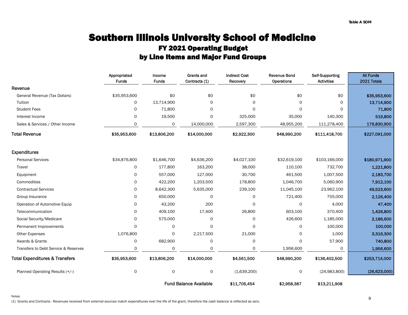### Southern Illinois University School of Medicine FY 2021 Operating Budget by Line Items and Major Fund Groups

|                                           | Appropriated | Income       | Grants and                    | <b>Indirect Cost</b> | <b>Revenue Bond</b> | Self-Supporting   | <b>All Funds</b> |
|-------------------------------------------|--------------|--------------|-------------------------------|----------------------|---------------------|-------------------|------------------|
|                                           | <b>Funds</b> | <b>Funds</b> | Contracts (1)                 | Recovery             | Operations          | <b>Activities</b> | 2021 Totals      |
| Revenue                                   |              |              |                               |                      |                     |                   |                  |
| General Revenue (Tax Dollars)             | \$35,953,600 | \$0          | \$0                           | \$0                  | \$0                 | \$0               | \$35,953,600     |
| Tuition                                   | 0            | 13,714,900   | $\Omega$                      | $\Omega$             | $\Omega$            | $\mathsf{O}$      | 13,714,900       |
| <b>Student Fees</b>                       | 0            | 71,800       | 0                             | $\Omega$             | $\Omega$            | $\Omega$          | 71,800           |
| Interest Income                           | 0            | 19,500       | 0                             | 325,000              | 35,000              | 140,300           | 519,800          |
| Sales & Services / Other Income           | $\circ$      | 0            | 14,000,000                    | 2,597,300            | 48,955,200          | 111,278,400       | 176,830,900      |
| <b>Total Revenue</b>                      | \$35,953,600 | \$13,806,200 | \$14,000,000                  | \$2,922,300          | \$48,990,200        | \$111,418,700     | \$227,091,000    |
| <b>Expenditures</b>                       |              |              |                               |                      |                     |                   |                  |
| <b>Personal Services</b>                  | \$34,876,800 | \$1,646,700  | \$4,636,200                   | \$4,027,100          | \$32,619,100        | \$103,166,000     | \$180,971,900    |
| Travel                                    | $\mathbf 0$  | 177,800      | 163,200                       | 38,000               | 110,100             | 732,700           | 1,221,800        |
| Equipment                                 | 0            | 557,000      | 127,000                       | 30,700               | 461,500             | 1,007,500         | 2,183,700        |
| Commodities                               | $\Omega$     | 422,200      | 1,203,500                     | 178,800              | 1,046,700           | 5,060,900         | 7,912,100        |
| <b>Contractual Services</b>               | 0            | 8,642,300    | 5,635,000                     | 239,100              | 11,045,100          | 23,962,100        | 49,523,600       |
| Group Insurance                           | $\Omega$     | 650,000      | 0                             | $\mathbf 0$          | 721,400             | 755,000           | 2,126,400        |
| Operation of Automotive Equip             | $\Omega$     | 43,200       | 200                           | $\Omega$             | 0                   | 4,000             | 47,400           |
| Telecommunication                         | 0            | 409,100      | 17,400                        | 26,800               | 603,100             | 370,400           | 1,426,800        |
| Social Security/Medicare                  | 0            | 575,000      | 0                             | $\mathbf 0$          | 426,600             | 1,185,000         | 2,186,600        |
| Permanent Improvements                    | $\circ$      | 0            | $\mathbf 0$                   | $\mathbf 0$          | 0                   | 100,000           | 100,000          |
| <b>Other Expenses</b>                     | 1,076,800    | $\Omega$     | 2,217,500                     | 21,000               | $\Omega$            | 1,000             | 3,316,300        |
| Awards & Grants                           | 0            | 682,900      | 0                             | 0                    | $\Omega$            | 57,900            | 740,800          |
| Transfers to Debt Service & Reserves      | $\circ$      | 0            | 0                             | $\Omega$             | 1,956,600           | 0                 | 1,956,600        |
| <b>Total Expenditures &amp; Transfers</b> | \$35,953,600 | \$13,806,200 | \$14,000,000                  | \$4,561,500          | \$48,990,200        | \$136,402,500     | \$253,714,000    |
| Planned Operating Results (+/-)           | 0            | 0            | 0                             | (1,639,200)          | 0                   | (24,983,800)      | (26, 623, 000)   |
|                                           |              |              | <b>Fund Balance Available</b> | \$11,705,454         | \$2,958,387         | \$13,211,908      |                  |

(1) Grants and Contracts - Revenues received from external sources match expenditures over the life of the grant, therefore the cash balance is reflected as zero.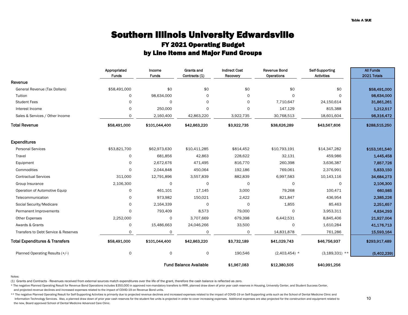### Southern Illinois University Edwardsville FY 2021 Operating Budget by Line Items and Major Fund Groups

|                                           | Appropriated<br><b>Funds</b> | Income<br><b>Funds</b> | <b>Grants and</b><br>Contracts (1) | <b>Indirect Cost</b><br>Recovery | <b>Revenue Bond</b><br>Operations | Self-Supporting<br><b>Activities</b> | <b>All Funds</b><br>2021 Totals |
|-------------------------------------------|------------------------------|------------------------|------------------------------------|----------------------------------|-----------------------------------|--------------------------------------|---------------------------------|
| Revenue                                   |                              |                        |                                    |                                  |                                   |                                      |                                 |
| General Revenue (Tax Dollars)             | \$58,491,000                 | \$0                    | \$0                                | \$0                              | \$0                               | \$0                                  | \$58,491,000                    |
| Tuition                                   | 0                            | 98,634,000             | 0                                  | 0                                | $\Omega$                          | $\Omega$                             | 98,634,000                      |
| <b>Student Fees</b>                       | $\circ$                      | $\circ$                | $\mathsf{O}$                       | 0                                | 7,710,647                         | 24,150,614                           | 31,861,261                      |
| Interest Income                           | $\mathsf{O}$                 | 250,000                | $\circ$                            | $\circ$                          | 147,129                           | 815,388                              | 1,212,517                       |
| Sales & Services / Other Income           | 0                            | 2,160,400              | 42,863,220                         | 3,922,735                        | 30,768,513                        | 18,601,604                           | 98,316,472                      |
| <b>Total Revenue</b>                      | \$58,491,000                 | \$101,044,400          | \$42,863,220                       | \$3,922,735                      | \$38,626,289                      | \$43,567,606                         | \$288,515,250                   |
| <b>Expenditures</b>                       |                              |                        |                                    |                                  |                                   |                                      |                                 |
| <b>Personal Services</b>                  | \$53,821,700                 | \$62,973,630           | \$10,411,285                       | \$814,452                        | \$10,793,191                      | \$14,347,282                         | \$153,161,540                   |
| Travel                                    | 0                            | 681,856                | 42,863                             | 228,622                          | 32,131                            | 459.986                              | 1,445,458                       |
| Equipment                                 | $\mathsf{O}$                 | 2,672,676              | 471,495                            | 816,770                          | 260,398                           | 3,636,387                            | 7,857,726                       |
| Commodities                               | $\mathsf{O}$                 | 2,044,848              | 450,064                            | 192,186                          | 769,061                           | 2,376,991                            | 5,833,150                       |
| <b>Contractual Services</b>               | 311,000                      | 12,791,896             | 3,557,839                          | 882,839                          | 6,997,583                         | 10,143,116                           | 34,684,273                      |
| Group Insurance                           | 2,106,300                    | $\circ$                | $\circ$                            | 0                                | 0                                 | $\Omega$                             | 2,106,300                       |
| Operation of Automotive Equip             | 0                            | 461,101                | 17,145                             | 3,000                            | 79,268                            | 100,471                              | 660,985                         |
| Telecommunication                         | 0                            | 973,982                | 150,021                            | 2,422                            | 821,847                           | 436,954                              | 2,385,226                       |
| Social Security/Medicare                  | 0                            | 2,164,339              | $\Omega$                           | 0                                | 1,855                             | 85,463                               | 2,251,657                       |
| Permanent Improvements                    | $\mathsf{O}$                 | 793,409                | 8,573                              | 79,000                           | 0                                 | 3,953,311                            | 4,834,293                       |
| <b>Other Expenses</b>                     | 2,252,000                    | 0                      | 3,707,669                          | 679,398                          | 6,442,531                         | 8,845,406                            | 21,927,004                      |
| Awards & Grants                           | 0                            | 15,486,663             | 24,046,266                         | 33,500                           | 0                                 | 1,610,284                            | 41,176,713                      |
| Transfers to Debt Service & Reserves      | 0                            | 0                      | 0                                  | 0                                | 14,831,878                        | 761,286                              | 15,593,164                      |
| <b>Total Expenditures &amp; Transfers</b> | \$58,491,000                 | \$101,044,400          | \$42,863,220                       | \$3,732,189                      | \$41,029,743                      | \$46,756,937                         | \$293,917,489                   |
| Planned Operating Results (+/-)           | $\mathsf O$                  | $\mathsf{o}$           | $\circ$                            | 190,546                          | $(2,403,454)$ *                   | $(3,189,331)$ **                     | (5,402,239)                     |
|                                           |                              |                        | <b>Fund Balance Available</b>      | \$1,967,083                      | \$12,380,505                      | \$40,991,256                         |                                 |

Notes:

(1) Grants and Contracts - Revenues received from external sources match expenditures over the life of the grant, therefore the cash balance is reflected as zero.

\* The negative Planned Operating Result for Revenue Bond Operations includes \$350,000 in approved non-mandatory transfers to RRR, planned draw down of prior year cash reserves in Housing, University Center, and Student Suc

and projected revenue declines and increased expenses related to the impact of COVID-19 on Revenue Bond units.

\*\* The negative Planned Operating Result for Self-Supporting Activities is primarily due to projected revenue declines and increased expenses related to the impact of COVID-19 on Self-Supporting units such as the School of Information Technology Services. Also, a planned draw down of prior year cash reserves for the student fee units is projected in order to cover increasing expenses. Additional expenses are also projected for the constructi the new, Board approved School of Dental Medicine Advanced Care Clinic.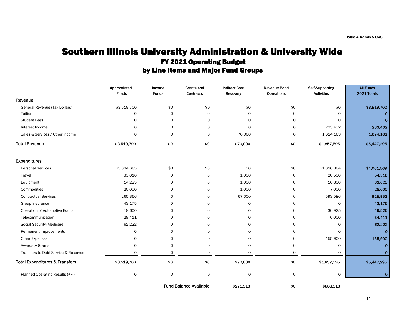### Southern Illinois University Administration & University Wide FY 2021 Operating Budget by Line Items and Major Fund Groups

|                                           | Appropriated<br><b>Funds</b> | Income<br><b>Funds</b> | Grants and<br>Contracts       | <b>Indirect Cost</b><br>Recovery | <b>Revenue Bond</b><br>Operations | Self-Supporting<br><b>Activities</b> | <b>All Funds</b><br>2021 Totals |
|-------------------------------------------|------------------------------|------------------------|-------------------------------|----------------------------------|-----------------------------------|--------------------------------------|---------------------------------|
| Revenue                                   |                              |                        |                               |                                  |                                   |                                      |                                 |
| General Revenue (Tax Dollars)             | \$3,519,700                  | \$0                    | \$0                           | \$0                              | \$0                               | \$0                                  | \$3,519,700                     |
| Tuition                                   | 0                            | $\mathsf{o}$           | $\mathbf 0$                   | $\Omega$                         | $\mathsf{o}$                      | $\Omega$                             | $\mathbf{O}$                    |
| <b>Student Fees</b>                       | 0                            | $\mathsf{o}$           | $\circ$                       | $\Omega$                         | $\mathsf{o}$                      | $\Omega$                             | $\mathbf{0}$                    |
| Interest Income                           | $\mathbf 0$                  | $\circ$                | $\mathbf 0$                   | $\Omega$                         | $\mathsf{O}$                      | 233,432                              | 233,432                         |
| Sales & Services / Other Income           | 0                            | 0                      | $\mathsf{o}$                  | 70,000                           | 0                                 | 1,624,163                            | 1,694,163                       |
| <b>Total Revenue</b>                      | \$3,519,700                  | \$0                    | \$0                           | \$70,000                         | \$0                               | \$1,857,595                          | \$5,447,295                     |
| <b>Expenditures</b>                       |                              |                        |                               |                                  |                                   |                                      |                                 |
| <b>Personal Services</b>                  | \$3,034,685                  | \$0                    | \$0                           | \$0                              | \$0                               | \$1,026,884                          | \$4,061,569                     |
| Travel                                    | 33,016                       | 0                      | $\mathbf 0$                   | 1,000                            | 0                                 | 20,500                               | 54,516                          |
| Equipment                                 | 14,225                       | 0                      | $\mathbf 0$                   | 1,000                            | 0                                 | 16,800                               | 32,025                          |
| Commodities                               | 20,000                       | $\mathsf{O}$           | $\mathsf{o}$                  | 1,000                            | 0                                 | 7,000                                | 28,000                          |
| <b>Contractual Services</b>               | 265,366                      | 0                      | $\mathsf O$                   | 67,000                           | 0                                 | 593,586                              | 925,952                         |
| Group Insurance                           | 43,175                       | 0                      | $\mathbf 0$                   | $\mathsf{O}$                     | 0                                 | 0                                    | 43,175                          |
| Operation of Automotive Equip             | 18,600                       | 0                      | $\mathsf{o}$                  | 0                                | 0                                 | 30,925                               | 49,525                          |
| Telecommunication                         | 28,411                       | 0                      | 0                             | 0                                | 0                                 | 6,000                                | 34,411                          |
| Social Security/Medicare                  | 62,222                       | 0                      | 0                             | $\Omega$                         | $\mathsf{o}$                      | $\Omega$                             | 62,222                          |
| Permanent Improvements                    | 0                            | $\mathsf{O}$           | $\mathbf 0$                   | $\Omega$                         | $\mathsf{o}$                      | 0                                    | $\mathbf{O}$                    |
| Other Expenses                            | $\mathbf 0$                  | $\Omega$               | $\Omega$                      | $\Omega$                         | $\mathsf{o}$                      | 155,900                              | 155,900                         |
| Awards & Grants                           | $\mathbf 0$                  | $\mathsf{o}$           | $\mathbf 0$                   | $\Omega$                         | $\mathsf{o}$                      | $\Omega$                             | $\mathbf{O}$                    |
| Transfers to Debt Service & Reserves      | $\Omega$                     | $\mathsf{o}$           | $\Omega$                      | $\Omega$                         | $\Omega$                          | $\Omega$                             | $\mathbf{0}$                    |
| <b>Total Expenditures &amp; Transfers</b> | \$3,519,700                  | \$0                    | \$0                           | \$70,000                         | \$0                               | \$1,857,595                          | \$5,447,295                     |
| Planned Operating Results (+/-)           | 0                            | $\mathsf{o}$           | $\mathsf O$                   | 0                                | 0                                 | 0                                    | $\mathbf{O}$                    |
|                                           |                              |                        | <b>Fund Balance Available</b> | \$271,513                        | \$0                               | \$888,313                            |                                 |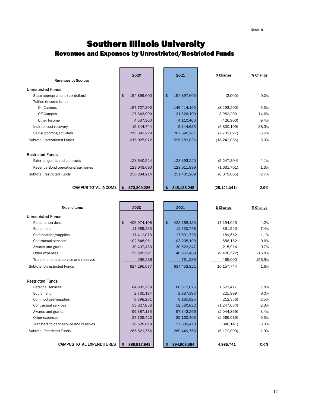### Southern Illinois University Revenues and Expenses by Unrestricted/Restricted Funds

| <b>Revenues by Sources</b>          |     | 2020        | 2021              | \$ Change      | % Change |
|-------------------------------------|-----|-------------|-------------------|----------------|----------|
|                                     |     |             |                   |                |          |
| <b>Unrestricted Funds</b>           |     |             |                   |                |          |
| State appropriations (tax dollars)  | \$  | 194,899,600 | \$<br>194,897,600 | (2,000)        | 0.0%     |
| Tuition (Income fund)               |     |             |                   |                |          |
| On-Campus                           |     | 157,707,300 | 149,414,100       | (8,293,200)    | $-5.3%$  |
| Off-Campus                          |     | 27,343,900  | 31,326,100        | 3,982,200      | 14.6%    |
| Other Income                        |     | 4,537,300   | 4,110,400         | (426,900)      | $-9.4%$  |
| Indirect cost recovery              |     | 15,144,744  | 9,344,635         | (5,800,109)    | $-38.3%$ |
| Self-supporting activities          |     | 215,392,228 | 207,690,201       | (7,702,027)    | $-3.6%$  |
| Subtotal Unrestricted Funds         |     | 615,025,072 | 596,783,036       | (18, 242, 036) | $-3.0%$  |
|                                     |     |             |                   |                |          |
| <b>Restricted Funds</b>             |     |             |                   |                |          |
| External grants and contracts       |     | 128,640,524 | 123,393,220       | (5,247,304)    | $-4.1%$  |
| Revenue Bond operations/auxiliaries |     | 129,643,690 | 128,011,989       | (1,631,701)    | $-1.3%$  |
| <b>Subtotal Restricted Funds</b>    |     | 258,284,214 | 251,405,209       | (6,879,005)    | $-2.7%$  |
| <b>CAMPUS TOTAL INCOME</b>          | \$. | 873,309,286 | \$<br>848,188,245 | (25, 121, 041) | $-2.9%$  |

| <b>Expenditures</b>                    | 2020              | 2021              | \$ Change     | % Change |
|----------------------------------------|-------------------|-------------------|---------------|----------|
| <b>Unrestricted Funds</b>              |                   |                   |               |          |
| Personal services                      | 405,974,108<br>\$ | \$<br>423,168,133 | 17,194,025    | 4.2%     |
| Equipment                              | 11,669,235        | 12,530,758        | 861,523       | 7.4%     |
| Commodities/supplies                   | 17,412,073        | 17,601,725        | 189.652       | 1.1%     |
| Contractual services                   | 102,546,951       | 103,205,103       | 658.152       | 0.6%     |
| Awards and grants                      | 30,407,433        | 30,623,347        | 215,914       | 0.7%     |
| Other expenses                         | 55,989,991        | 46,563,469        | (9,426,522)   | $-16.8%$ |
| Transfers to debt service and reserves | 296,286           | 761,286           | 465,000       | 156.9%   |
| <b>Subtotal Unrestricted Funds</b>     | 624,296,077       | 634,453,821       | 10,157,744    | 1.6%     |
|                                        |                   |                   |               |          |
| <b>Restricted Funds</b>                |                   |                   |               |          |
| Personal services                      | 84,989,259        | 86,512,676        | 1.523.417     | 1.8%     |
| Equipment                              | 2,765,194         | 2,987,193         | 221.999       | 8.0%     |
| Commodities/supplies                   | 8,398,281         | 8,185,925         | (212, 356)    | $-2.5%$  |
| Contractual services                   | 53,827,856        | 52,580,822        | (1,247,034)   | $-2.3%$  |
| Awards and grants                      | 59,387,135        | 57,342,266        | (2,044,869)   | $-3.4%$  |
| Other expenses                         | 27,725,422        | 25,160,403        | (2,565,019)   | $-9.3%$  |
| Transfers to debt service and reserves | 28.528.619        | 27.680.478        | (848.141)     | $-3.0%$  |
| <b>Subtotal Restricted Funds</b>       | 265,621,766       | 260,449,763       | (5, 172, 003) | $-1.9%$  |
|                                        |                   |                   |               |          |
| <b>CAMPUS TOTAL EXPENDITURES</b>       | 889.917.843<br>\$ | 894.903.584<br>\$ | 4.985.741     | 0.6%     |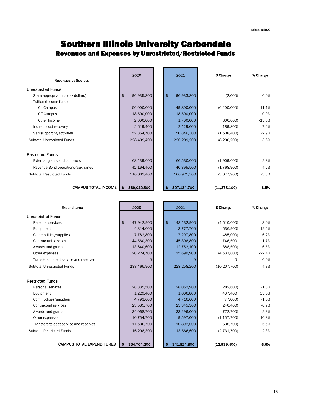### Southern Illinois University Carbondale Revenues and Expenses by Unrestricted/Restricted Funds

|                                     |                | 2020        | 2021              | \$ Change    | % Change |
|-------------------------------------|----------------|-------------|-------------------|--------------|----------|
| <b>Revenues by Sources</b>          |                |             |                   |              |          |
| <b>Unrestricted Funds</b>           |                |             |                   |              |          |
| State appropriations (tax dollars)  | $\mathfrak{s}$ | 96,935,300  | \$<br>96,933,300  | (2,000)      | 0.0%     |
| Tuition (Income fund)               |                |             |                   |              |          |
| On-Campus                           |                | 56,000,000  | 49,800,000        | (6,200,000)  | $-11.1%$ |
| Off-Campus                          |                | 18,500,000  | 18,500,000        |              | 0.0%     |
| Other Income                        |                | 2,000,000   | 1,700,000         | (300,000)    | $-15.0%$ |
| Indirect cost recovery              |                | 2,619,400   | 2,429,600         | (189, 800)   | $-7.2%$  |
| Self-supporting activities          |                | 52,354,700  | 50,846,300        | (1,508,400)  | $-2.9%$  |
| Subtotal Unrestricted Funds         |                | 228,409,400 | 220,209,200       | (8,200,200)  | $-3.6%$  |
| <b>Restricted Funds</b>             |                |             |                   |              |          |
| External grants and contracts       |                | 68,439,000  | 66,530,000        | (1,909,000)  | $-2.8%$  |
| Revenue Bond operations/auxiliaries |                | 42,164,400  | 40,395,500        | (1,768,900)  | $-4.2%$  |
| <b>Subtotal Restricted Funds</b>    |                | 110,603,400 | 106,925,500       | (3,677,900)  | $-3.3%$  |
| <b>CAMPUS TOTAL INCOME</b>          | \$             | 339,012,800 | \$<br>327,134,700 | (11,878,100) | $-3.5%$  |

| <b>Expenditures</b>                    | 2020              | 2021               | \$ Change      | % Change |
|----------------------------------------|-------------------|--------------------|----------------|----------|
| <b>Unrestricted Funds</b>              |                   |                    |                |          |
| Personal services                      | \$<br>147,942,900 | \$<br>143,432,900  | (4,510,000)    | $-3.0%$  |
| Equipment                              | 4,314,600         | 3,777,700          | (536,900)      | $-12.4%$ |
| Commodities/supplies                   | 7,782,800         | 7,297,800          | (485,000)      | $-6.2%$  |
| Contractual services                   | 44,560,300        | 45,306,800         | 746,500        | 1.7%     |
| Awards and grants                      | 13,640,600        | 12,752,100         | (888, 500)     | $-6.5%$  |
| Other expenses                         | 20,224,700        | 15,690,900         | (4,533,800)    | $-22.4%$ |
| Transfers to debt service and reserves | 0                 | <u>0</u>           | 0              | 0.0%     |
| <b>Subtotal Unrestricted Funds</b>     | 238,465,900       | 228,258,200        | (10, 207, 700) | $-4.3%$  |
|                                        |                   |                    |                |          |
| <b>Restricted Funds</b>                |                   |                    |                |          |
| Personal services                      | 28,335,500        | 28,052,900         | (282,600)      | $-1.0%$  |
| Equipment                              | 1,229,400         | 1,666,800          | 437.400        | 35.6%    |
| Commodities/supplies                   | 4,793,600         | 4,716,600          | (77,000)       | $-1.6%$  |
| Contractual services                   | 25,585,700        | 25,345,300         | (240, 400)     | $-0.9%$  |
| Awards and grants                      | 34,068,700        | 33,296,000         | (772, 700)     | $-2.3%$  |
| Other expenses                         | 10,754,700        | 9,597,000          | (1, 157, 700)  | $-10.8%$ |
| Transfers to debt service and reserves | 11,530,700        | 10,892,000         | (638, 700)     | $-5.5%$  |
| <b>Subtotal Restricted Funds</b>       | 116,298,300       | 113,566,600        | (2,731,700)    | $-2.3%$  |
|                                        |                   |                    |                |          |
| <b>CAMPUS TOTAL EXPENDITURES</b>       | \$<br>354,764,200 | 341,824,800<br>\$. | (12,939,400)   | $-3.6%$  |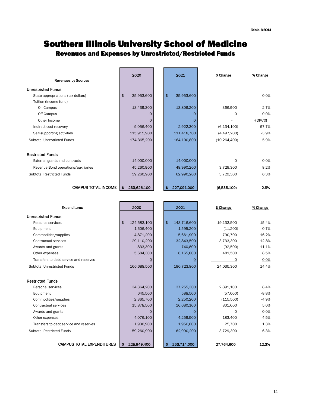### Southern Illinois University School of Medicine Revenues and Expenses by Unrestricted/Restricted Funds

|                                     | 2020                         | 2021              | \$ Change      | % Change |
|-------------------------------------|------------------------------|-------------------|----------------|----------|
| <b>Revenues by Sources</b>          |                              |                   |                |          |
| <b>Unrestricted Funds</b>           |                              |                   |                |          |
| State appropriations (tax dollars)  | $\mathfrak{s}$<br>35,953,600 | \$<br>35,953,600  |                | 0.0%     |
| Tuition (Income fund)               |                              |                   |                |          |
| On-Campus                           | 13,439,300                   | 13,806,200        | 366,900        | 2.7%     |
| Off-Campus                          | 0                            | $\Omega$          | O              | 0.0%     |
| Other Income                        | O                            | $\Omega$          |                | #DIV/0!  |
| Indirect cost recovery              | 9,056,400                    | 2,922,300         | (6, 134, 100)  | $-67.7%$ |
| Self-supporting activities          | 115,915,900                  | 111,418,700       | (4,497,200)    | $-3.9%$  |
| Subtotal Unrestricted Funds         | 174,365,200                  | 164,100,800       | (10, 264, 400) | $-5.9%$  |
| <b>Restricted Funds</b>             |                              |                   |                |          |
| External grants and contracts       | 14,000,000                   | 14,000,000        | O              | 0.0%     |
| Revenue Bond operations/auxiliaries | 45,260,900                   | 48,990,200        | 3,729,300      | 8.2%     |
| <b>Subtotal Restricted Funds</b>    | 59,260,900                   | 62,990,200        | 3,729,300      | 6.3%     |
| <b>CAMPUS TOTAL INCOME</b>          | 233,626,100<br>\$            | \$<br>227,091,000 | (6,535,100)    | $-2.8%$  |

| <b>Expenditures</b>                    | 2020              | 2021               | \$ Change  | % Change |
|----------------------------------------|-------------------|--------------------|------------|----------|
| <b>Unrestricted Funds</b>              |                   |                    |            |          |
| Personal services                      | \$<br>124,583,100 | \$<br>143,716,600  | 19,133,500 | 15.4%    |
| Equipment                              | 1,606,400         | 1,595,200          | (11,200)   | $-0.7%$  |
| Commodities/supplies                   | 4,871,200         | 5,661,900          | 790.700    | 16.2%    |
| Contractual services                   | 29,110,200        | 32,843,500         | 3,733,300  | 12.8%    |
| Awards and grants                      | 833,300           | 740,800            | (92,500)   | $-11.1%$ |
| Other expenses                         | 5,684,300         | 6,165,800          | 481,500    | 8.5%     |
| Transfers to debt service and reserves | <u>0</u>          | $\Omega$           | $\Omega$   | 0.0%     |
| <b>Subtotal Unrestricted Funds</b>     | 166,688,500       | 190,723,800        | 24,035,300 | 14.4%    |
|                                        |                   |                    |            |          |
| <b>Restricted Funds</b>                |                   |                    |            |          |
| Personal services                      | 34,364,200        | 37,255,300         | 2.891.100  | 8.4%     |
| Equipment                              | 645,500           | 588,500            | (57,000)   | $-8.8%$  |
| Commodities/supplies                   | 2,365,700         | 2,250,200          | (115,500)  | $-4.9%$  |
| Contractual services                   | 15,878,500        | 16,680,100         | 801,600    | 5.0%     |
| Awards and grants                      | 0                 | $\Omega$           | 0          | 0.0%     |
| Other expenses                         | 4,076,100         | 4,259,500          | 183,400    | 4.5%     |
| Transfers to debt service and reserves | 1,930,900         | 1.956.600          | 25.700     | 1.3%     |
| <b>Subtotal Restricted Funds</b>       | 59,260,900        | 62,990,200         | 3,729,300  | 6.3%     |
|                                        |                   |                    |            |          |
| <b>CAMPUS TOTAL EXPENDITURES</b>       | 225.949.400<br>\$ | \$.<br>253.714.000 | 27.764.600 | 12.3%    |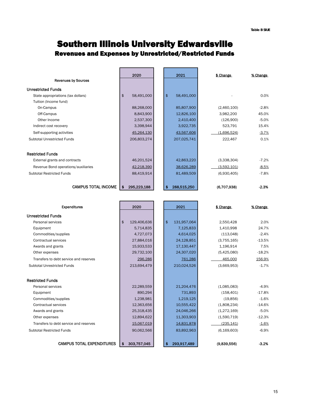### Southern Illinois University Edwardsville Revenues and Expenses by Unrestricted/Restricted Funds

 $\mathbf{r}$ 

|                                     |               | 2020        | 2021                        | \$ Change   | % Change |
|-------------------------------------|---------------|-------------|-----------------------------|-------------|----------|
| <b>Revenues by Sources</b>          |               |             |                             |             |          |
| <b>Unrestricted Funds</b>           |               |             |                             |             |          |
| State appropriations (tax dollars)  | $\frac{2}{3}$ | 58,491,000  | $\frac{1}{2}$<br>58,491,000 |             | 0.0%     |
| Tuition (Income fund)               |               |             |                             |             |          |
| On-Campus                           |               | 88,268,000  | 85,807,900                  | (2,460,100) | $-2.8%$  |
| Off-Campus                          |               | 8,843,900   | 12,826,100                  | 3,982,200   | 45.0%    |
| Other Income                        |               | 2,537,300   | 2,410,400                   | (126,900)   | $-5.0%$  |
| Indirect cost recovery              |               | 3,398,944   | 3,922,735                   | 523,791     | 15.4%    |
| Self-supporting activities          |               | 45,264,130  | 43,567,606                  | (1,696,524) | $-3.7%$  |
| Subtotal Unrestricted Funds         |               | 206,803,274 | 207,025,741                 | 222,467     | 0.1%     |
| <b>Restricted Funds</b>             |               |             |                             |             |          |
| External grants and contracts       |               | 46,201,524  | 42,863,220                  | (3,338,304) | $-7.2%$  |
| Revenue Bond operations/auxiliaries |               | 42,218,390  | 38,626,289                  | (3,592,101) | $-8.5%$  |
| <b>Subtotal Restricted Funds</b>    |               | 88,419,914  | 81,489,509                  | (6,930,405) | $-7.8%$  |
| <b>CAMPUS TOTAL INCOME</b>          | \$            | 295,223,188 | \$<br>288,515,250           | (6,707.938) | $-2.3%$  |

| <b>Expenditures</b>                    | 2020              | 2021              | \$ Change     | % Change |
|----------------------------------------|-------------------|-------------------|---------------|----------|
| <b>Unrestricted Funds</b>              |                   |                   |               |          |
| Personal services                      | \$<br>129,406,636 | \$<br>131,957,064 | 2.550.428     | 2.0%     |
| Equipment                              | 5,714,835         | 7,125,833         | 1,410,998     | 24.7%    |
| Commodities/supplies                   | 4,727,073         | 4,614,025         | (113,048)     | $-2.4%$  |
| Contractual services                   | 27,884,016        | 24,128,851        | (3,755,165)   | $-13.5%$ |
| Awards and grants                      | 15,933,533        | 17,130,447        | 1,196,914     | 7.5%     |
| Other expenses                         | 29,732,100        | 24,307,020        | (5,425,080)   | $-18.2%$ |
| Transfers to debt service and reserves | 296,286           | 761.286           | 465.000       | 156.9%   |
| Subtotal Unrestricted Funds            | 213,694,479       | 210,024,526       | (3,669,953)   | $-1.7%$  |
|                                        |                   |                   |               |          |
| <b>Restricted Funds</b>                |                   |                   |               |          |
| Personal services                      | 22,289,559        | 21,204,476        | (1,085,083)   | $-4.9%$  |
| Equipment                              | 890,294           | 731,893           | (158, 401)    | $-17.8%$ |
| Commodities/supplies                   | 1,238,981         | 1,219,125         | (19, 856)     | $-1.6%$  |
| Contractual services                   | 12,363,656        | 10,555,422        | (1,808,234)   | $-14.6%$ |
| Awards and grants                      | 25,318,435        | 24,046,266        | (1,272,169)   | $-5.0%$  |
| Other expenses                         | 12,894,622        | 11,303,903        | (1,590,719)   | $-12.3%$ |
| Transfers to debt service and reserves | 15,067,019        | 14,831,878        | (235, 141)    | $-1.6%$  |
| <b>Subtotal Restricted Funds</b>       | 90,062,566        | 83,892,963        | (6, 169, 603) | $-6.9%$  |
| <b>CAMPUS TOTAL EXPENDITURES</b>       | \$<br>303,757,045 | 293,917,489<br>\$ | (9,839,556)   | $-3.2%$  |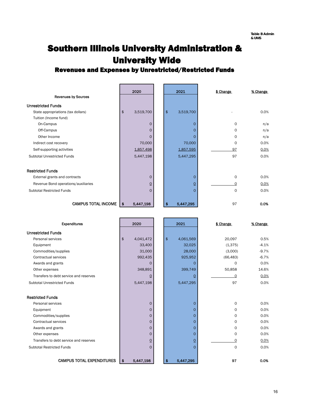## Southern Illinois University Administration & University Wide

### Revenues and Expenses by Unrestricted/Restricted Funds

|                                     | 2020            |                | 2021            | \$ Change   | % Change |
|-------------------------------------|-----------------|----------------|-----------------|-------------|----------|
| <b>Revenues by Sources</b>          |                 |                |                 |             |          |
| <b>Unrestricted Funds</b>           |                 |                |                 |             |          |
| State appropriations (tax dollars)  | \$<br>3,519,700 |                | \$<br>3,519,700 |             | 0.0%     |
| Tuition (Income fund)               |                 |                |                 |             |          |
| On-Campus                           |                 | $\mathbf 0$    | 0               | 0           | n/a      |
| Off-Campus                          |                 | $\Omega$       |                 | 0           | n/a      |
| Other Income                        |                 | $\mathbf 0$    |                 | 0           | n/a      |
| Indirect cost recovery              | 70,000          |                | 70,000          | 0           | 0.0%     |
| Self-supporting activities          | 1,857,498       |                | 1,857,595       | 97          | 0.0%     |
| Subtotal Unrestricted Funds         | 5,447,198       |                | 5,447,295       | 97          | 0.0%     |
| <b>Restricted Funds</b>             |                 |                |                 |             |          |
| External grants and contracts       |                 | $\mathbf 0$    | 0               | O           | 0.0%     |
| Revenue Bond operations/auxiliaries |                 | $\overline{0}$ | <u>0</u>        | $\Omega$    | 0.0%     |
| <b>Subtotal Restricted Funds</b>    |                 | $\mathbf 0$    | $\Omega$        | $\mathbf 0$ | 0.0%     |
| <b>CAMPUS TOTAL INCOME</b>          | 5,447,198<br>\$ |                | 5,447,295       | 97          | 0.0%     |

| <b>Expenditures</b>                    | 2020            | 2021            | \$ Change   | % Change |
|----------------------------------------|-----------------|-----------------|-------------|----------|
| <b>Unrestricted Funds</b>              |                 |                 |             |          |
| Personal services                      | \$<br>4,041,472 | \$<br>4,061,569 | 20,097      | 0.5%     |
| Equipment                              | 33,400          | 32,025          | (1,375)     | $-4.1%$  |
| Commodities/supplies                   | 31,000          | 28,000          | (3,000)     | $-9.7%$  |
| Contractual services                   | 992,435         | 925,952         | (66, 483)   | $-6.7%$  |
| Awards and grants                      | $\Omega$        | $\Omega$        | $\Omega$    | 0.0%     |
| Other expenses                         | 348,891         | 399,749         | 50,858      | 14.6%    |
| Transfers to debt service and reserves | $\overline{0}$  | 0               | $\Omega$    | 0.0%     |
| Subtotal Unrestricted Funds            | 5,447,198       | 5,447,295       | 97          | 0.0%     |
|                                        |                 |                 |             |          |
| <b>Restricted Funds</b>                |                 |                 |             |          |
| Personal services                      | $\overline{0}$  | $\Omega$        | $\mathbf 0$ | 0.0%     |
| Equipment                              | $\overline{0}$  | $\Omega$        | $\Omega$    | 0.0%     |
| Commodities/supplies                   | $\Omega$        | $\Omega$        | $\Omega$    | 0.0%     |
| Contractual services                   | $\mathbf{O}$    | $\Omega$        | 0           | 0.0%     |
| Awards and grants                      | $\mathsf{O}$    | O               | $\circ$     | 0.0%     |
| Other expenses                         | $\overline{0}$  | 0               | $\mathbf 0$ | 0.0%     |
| Transfers to debt service and reserves | $\overline{0}$  | $\overline{0}$  | $\circ$     | 0.0%     |
| <b>Subtotal Restricted Funds</b>       | $\Omega$        | $\Omega$        | $\Omega$    | 0.0%     |
|                                        |                 |                 |             |          |
| <b>CAMPUS TOTAL EXPENDITURES</b>       | 5,447,198<br>\$ | 5,447,295<br>\$ | 97          | 0.0%     |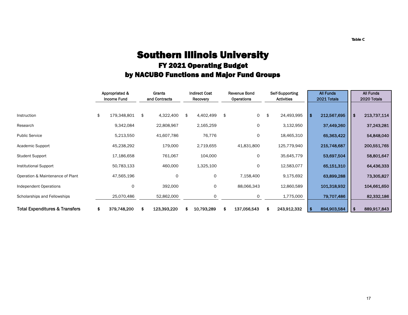### Southern Illinois University FY 2021 Operating Budget by NACUBO Functions and Major Fund Groups

|                                           | Appropriated &<br><b>Income Fund</b> |    | Grants<br>and Contracts | <b>Indirect Cost</b><br>Recovery |    | <b>Revenue Bond</b><br>Operations | Self-Supporting<br><b>Activities</b> |      | <b>All Funds</b><br>2021 Totals |      | <b>All Funds</b><br>2020 Totals |
|-------------------------------------------|--------------------------------------|----|-------------------------|----------------------------------|----|-----------------------------------|--------------------------------------|------|---------------------------------|------|---------------------------------|
|                                           |                                      |    |                         |                                  |    |                                   |                                      |      |                                 |      |                                 |
| Instruction                               | \$<br>179,348,801                    | \$ | 4,322,400               | \$<br>4,402,499                  | \$ | 0                                 | \$<br>24,493,995                     | l \$ | 212,567,695                     | ∣\$. | 213,737,114                     |
| Research                                  | 9,342,084                            |    | 22,808,967              | 2,165,259                        |    | 0                                 | 3,132,950                            |      | 37,449,260                      |      | 37,243,281                      |
| <b>Public Service</b>                     | 5,213,550                            |    | 41,607,786              | 76,776                           |    | 0                                 | 18,465,310                           |      | 65,363,422                      |      | 54,848,040                      |
| Academic Support                          | 45,238,292                           |    | 179,000                 | 2,719,655                        |    | 41,831,800                        | 125,779,940                          |      | 215,748,687                     |      | 200,551,765                     |
| <b>Student Support</b>                    | 17,186,658                           |    | 761,067                 | 104,000                          |    | 0                                 | 35,645,779                           |      | 53,697,504                      |      | 58,801,647                      |
| <b>Institutional Support</b>              | 50,783,133                           |    | 460,000                 | 1,325,100                        |    | 0                                 | 12,583,077                           |      | 65,151,310                      |      | 64,436,333                      |
| Operation & Maintenance of Plant          | 47,565,196                           |    | 0                       | 0                                |    | 7,158,400                         | 9,175,692                            |      | 63,899,288                      |      | 73,305,827                      |
| <b>Independent Operations</b>             | 0                                    |    | 392,000                 | 0                                |    | 88,066,343                        | 12,860,589                           |      | 101,318,932                     |      | 104,661,650                     |
| Scholarships and Fellowships              | 25,070,486                           |    | 52,862,000              | 0                                |    | 0                                 | 1,775,000                            |      | 79,707,486                      |      | 82,332,186                      |
| <b>Total Expenditures &amp; Transfers</b> | \$<br>379,748,200                    | 5  | 123,393,220             | 10,793,289                       | S  | 137,056,543                       | 243,912,332                          |      | 894,903,584                     | -\$  | 889,917,843                     |

**Table C**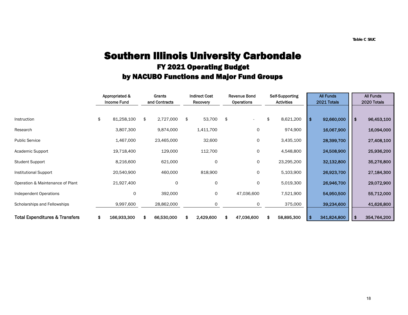### Southern Illinois University Carbondale FY 2021 Operating Budget by NACUBO Functions and Major Fund Groups

|                                           | Appropriated &<br><b>Income Fund</b> | Grants<br>and Contracts | <b>Indirect Cost</b><br>Recovery | <b>Revenue Bond</b><br>Operations | Self-Supporting<br><b>Activities</b> |      | <b>All Funds</b><br>2021 Totals |      | <b>All Funds</b><br>2020 Totals |
|-------------------------------------------|--------------------------------------|-------------------------|----------------------------------|-----------------------------------|--------------------------------------|------|---------------------------------|------|---------------------------------|
| Instruction                               | \$<br>81,258,100                     | \$<br>2,727,000         | \$<br>53,700                     | \$                                | \$<br>8,621,200                      | l \$ | 92,660,000                      | l \$ | 96,453,100                      |
| Research                                  | 3,807,300                            | 9,874,000               | 1,411,700                        | 0                                 | 974,900                              |      | 16,067,900                      |      | 16,094,000                      |
| <b>Public Service</b>                     | 1,467,000                            | 23,465,000              | 32,600                           | 0                                 | 3,435,100                            |      | 28,399,700                      |      | 27,408,100                      |
| Academic Support                          | 19,718,400                           | 129,000                 | 112,700                          | 0                                 | 4,548,800                            |      | 24,508,900                      |      | 25,936,200                      |
| <b>Student Support</b>                    | 8,216,600                            | 621,000                 | O                                | 0                                 | 23,295,200                           |      | 32,132,800                      |      | 35,276,800                      |
| <b>Institutional Support</b>              | 20,540,900                           | 460,000                 | 818,900                          | 0                                 | 5,103,900                            |      | 26,923,700                      |      | 27,184,300                      |
| Operation & Maintenance of Plant          | 21,927,400                           | 0                       | $\circ$                          | 0                                 | 5,019,300                            |      | 26,946,700                      |      | 29,072,900                      |
| Independent Operations                    | O                                    | 392,000                 | 0                                | 47,036,600                        | 7,521,900                            |      | 54,950,500                      |      | 55,712,000                      |
| Scholarships and Fellowships              | 9,997,600                            | 28,862,000              | 0                                | 0                                 | 375,000                              |      | 39,234,600                      |      | 41,626,800                      |
| <b>Total Expenditures &amp; Transfers</b> | \$<br>166,933,300                    | 66,530,000              | 2,429,600                        | 47,036,600                        | 58,895,300                           |      | 341,824,800                     | \$   | 354,764,200                     |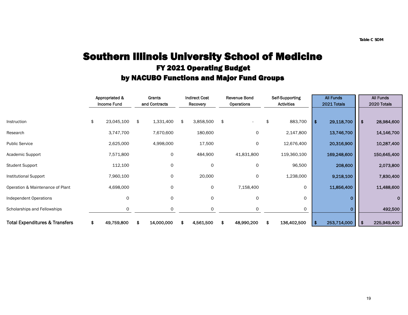### Southern Illinois University School of Medicine FY 2021 Operating Budget by NACUBO Functions and Major Fund Groups

|                                           | Appropriated &<br><b>Income Fund</b> | Grants<br>and Contracts | <b>Indirect Cost</b><br>Recovery |    | <b>Revenue Bond</b><br>Operations | Self-Supporting<br><b>Activities</b> |      | <b>All Funds</b><br>2021 Totals |      | <b>All Funds</b><br>2020 Totals |
|-------------------------------------------|--------------------------------------|-------------------------|----------------------------------|----|-----------------------------------|--------------------------------------|------|---------------------------------|------|---------------------------------|
|                                           |                                      |                         |                                  |    |                                   |                                      |      |                                 |      |                                 |
| Instruction                               | \$<br>23,045,100                     | \$<br>1,331,400         | \$<br>3,858,500                  | \$ |                                   | \$<br>883,700                        | l \$ | 29,118,700                      | l \$ | 28,984,600                      |
| Research                                  | 3,747,700                            | 7,670,600               | 180,600                          |    | 0                                 | 2,147,800                            |      | 13,746,700                      |      | 14,146,700                      |
| <b>Public Service</b>                     | 2,625,000                            | 4,998,000               | 17,500                           |    | 0                                 | 12,676,400                           |      | 20,316,900                      |      | 10,287,400                      |
| Academic Support                          | 7,571,800                            | 0                       | 484,900                          |    | 41,831,800                        | 119,360,100                          |      | 169,248,600                     |      | 150,645,400                     |
| <b>Student Support</b>                    | 112,100                              | 0                       | $\Omega$                         |    | 0                                 | 96,500                               |      | 208,600                         |      | 2,073,800                       |
| Institutional Support                     | 7,960,100                            | 0                       | 20,000                           |    | $\circ$                           | 1,238,000                            |      | 9,218,100                       |      | 7,830,400                       |
| Operation & Maintenance of Plant          | 4,698,000                            | 0                       | 0                                |    | 7,158,400                         | $\circ$                              |      | 11,856,400                      |      | 11,488,600                      |
| Independent Operations                    | $\Omega$                             | 0                       | $\circ$                          |    | $\circ$                           | 0                                    |      |                                 |      | 0                               |
| Scholarships and Fellowships              | $\Omega$                             | 0                       | $\Omega$                         |    | $\Omega$                          | $\mathbf 0$                          |      |                                 |      | 492,500                         |
| <b>Total Expenditures &amp; Transfers</b> | \$<br>49,759,800                     | \$<br>14,000,000        | \$<br>4,561,500                  | S  | 48,990,200                        | \$<br>136,402,500                    | -\$  | 253,714,000                     | l \$ | 225,949,400                     |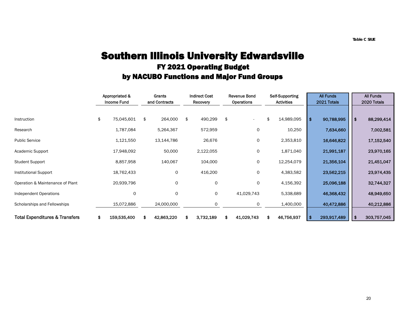### Southern Illinois University Edwardsville FY 2021 Operating Budget by NACUBO Functions and Major Fund Groups

|                                           | Appropriated &<br><b>Income Fund</b> | Grants<br>and Contracts | <b>Indirect Cost</b><br>Recovery | <b>Revenue Bond</b><br><b>Operations</b> | Self-Supporting<br><b>Activities</b> | <b>All Funds</b><br>2021 Totals |      | <b>All Funds</b><br>2020 Totals |
|-------------------------------------------|--------------------------------------|-------------------------|----------------------------------|------------------------------------------|--------------------------------------|---------------------------------|------|---------------------------------|
| Instruction                               | \$<br>75,045,601                     | \$<br>264,000           | \$<br>490,299                    | \$                                       | \$<br>14,989,095                     | \$<br>90,788,995                | ∣\$. | 88,299,414                      |
| Research                                  | 1,787,084                            | 5,264,367               | 572,959                          | 0                                        | 10,250                               | 7,634,660                       |      | 7,002,581                       |
| <b>Public Service</b>                     | 1,121,550                            | 13,144,786              | 26,676                           | 0                                        | 2,353,810                            | 16,646,822                      |      | 17,152,540                      |
| Academic Support                          | 17,948,092                           | 50,000                  | 2,122,055                        | 0                                        | 1,871,040                            | 21,991,187                      |      | 23,970,165                      |
| <b>Student Support</b>                    | 8,857,958                            | 140,067                 | 104,000                          | 0                                        | 12,254,079                           | 21,356,104                      |      | 21,451,047                      |
| Institutional Support                     | 18,762,433                           | 0                       | 416,200                          | 0                                        | 4,383,582                            | 23,562,215                      |      | 23,974,435                      |
| Operation & Maintenance of Plant          | 20,939,796                           | 0                       | 0                                | 0                                        | 4,156,392                            | 25,096,188                      |      | 32,744,327                      |
| Independent Operations                    | 0                                    | 0                       | 0                                | 41,029,743                               | 5,338,689                            | 46,368,432                      |      | 48,949,650                      |
| Scholarships and Fellowships              | 15,072,886                           | 24,000,000              | $\Omega$                         | 0                                        | 1,400,000                            | 40,472,886                      |      | 40,212,886                      |
| <b>Total Expenditures &amp; Transfers</b> | \$<br>159,535,400                    | \$<br>42,863,220        | 3,732,189                        | \$<br>41,029,743                         | 46,756,937                           | 293,917,489                     | \$   | 303,757,045                     |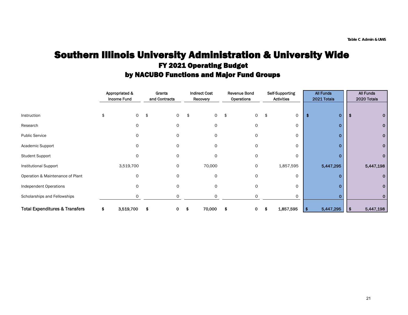### Southern Illinois University Administration & University Wide FY 2021 Operating Budget by NACUBO Functions and Major Fund Groups

|                                           |   | Appropriated &<br>Income Fund |    | Grants<br>and Contracts |     | <b>Indirect Cost</b><br>Recovery |     | <b>Revenue Bond</b><br>Operations | Self-Supporting<br><b>Activities</b> | <b>All Funds</b><br>2021 Totals |     | All Funds<br>2020 Totals |
|-------------------------------------------|---|-------------------------------|----|-------------------------|-----|----------------------------------|-----|-----------------------------------|--------------------------------------|---------------------------------|-----|--------------------------|
| Instruction                               |   | 0                             | \$ | 0                       | \$  | 0                                | -\$ | 0                                 | \$<br>0                              | 0                               |     |                          |
| Research                                  |   | 0                             |    | 0                       |     | 0                                |     | 0                                 | 0                                    | 0                               |     | 0                        |
| <b>Public Service</b>                     |   | $\Omega$                      |    | 0                       |     | 0                                |     | 0                                 | 0                                    | 0                               |     | 0                        |
| Academic Support                          |   | $\Omega$                      |    | 0                       |     | 0                                |     | 0                                 | 0                                    | 0                               |     | 0                        |
| <b>Student Support</b>                    |   | $\Omega$                      |    | 0                       |     | $\Omega$                         |     | 0                                 | 0                                    | Ω                               |     |                          |
| <b>Institutional Support</b>              |   | 3,519,700                     |    | 0                       |     | 70,000                           |     | 0                                 | 1,857,595                            | 5,447,295                       |     | 5,447,198                |
| Operation & Maintenance of Plant          |   | 0                             |    | 0                       |     | 0                                |     | 0                                 | 0                                    |                                 |     |                          |
| Independent Operations                    |   |                               |    | 0                       |     | 0                                |     | 0                                 | 0                                    | 0                               |     |                          |
| Scholarships and Fellowships              |   | 0                             |    | 0                       |     | 0                                |     | 0                                 | 0                                    |                                 |     |                          |
| <b>Total Expenditures &amp; Transfers</b> | 5 | 3,519,700                     | s  | 0                       | \$. | 70,000                           |     | 0                                 | 1,857,595                            | 5,447,295                       | -\$ | 5,447,198                |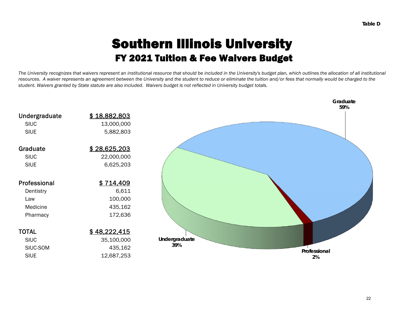# Southern Illinois University FY 2021 Tuition & Fee Waivers Budget

*The University recognizes that waivers represent an institutional resource that should be included in the University's budget plan, which outlines the allocation of all institutional resources. A waiver represents an agreement between the University and the student to reduce or eliminate the tuition and/or fees that normally would be charged to the student. Waivers granted by State statute are also included. Waivers budget is not reflected in University budget totals.*

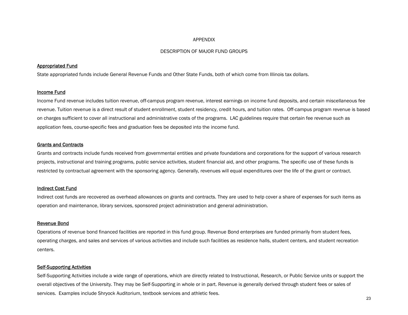#### APPENDIX

#### DESCRIPTION OF MAJOR FUND GROUPS

#### Appropriated Fund

State appropriated funds include General Revenue Funds and Other State Funds, both of which come from Illinois tax dollars.

#### Income Fund

Income Fund revenue includes tuition revenue, off-campus program revenue, interest earnings on income fund deposits, and certain miscellaneous fee revenue. Tuition revenue is a direct result of student enrollment, student residency, credit hours, and tuition rates. Off-campus program revenue is based on charges sufficient to cover all instructional and administrative costs of the programs. LAC guidelines require that certain fee revenue such as application fees, course-specific fees and graduation fees be deposited into the income fund.

#### Grants and Contracts

Grants and contracts include funds received from governmental entities and private foundations and corporations for the support of various research projects, instructional and training programs, public service activities, student financial aid, and other programs. The specific use of these funds is restricted by contractual agreement with the sponsoring agency. Generally, revenues will equal expenditures over the life of the grant or contract.

#### Indirect Cost Fund

Indirect cost funds are recovered as overhead allowances on grants and contracts. They are used to help cover a share of expenses for such items as operation and maintenance, library services, sponsored project administration and general administration.

#### Revenue Bond

Operations of revenue bond financed facilities are reported in this fund group. Revenue Bond enterprises are funded primarily from student fees, operating charges, and sales and services of various activities and include such facilities as residence halls, student centers, and student recreation centers.

#### Self-Supporting Activities

Self-Supporting Activities include a wide range of operations, which are directly related to Instructional, Research, or Public Service units or support the overall objectives of the University. They may be Self-Supporting in whole or in part. Revenue is generally derived through student fees or sales of services. Examples include Shryock Auditorium, textbook services and athletic fees.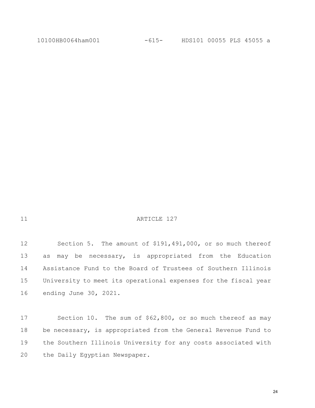| ×. | ٧ |
|----|---|
|    |   |

#### 11 ARTICLE 127

12 Section 5. The amount of \$191,491,000, or so much thereof as may be necessary, is appropriated from the Education Assistance Fund to the Board of Trustees of Southern Illinois University to meet its operational expenses for the fiscal year ending June 30, 2021.

17 Section 10. The sum of \$62,800, or so much thereof as may be necessary, is appropriated from the General Revenue Fund to the Southern Illinois University for any costs associated with the Daily Egyptian Newspaper.